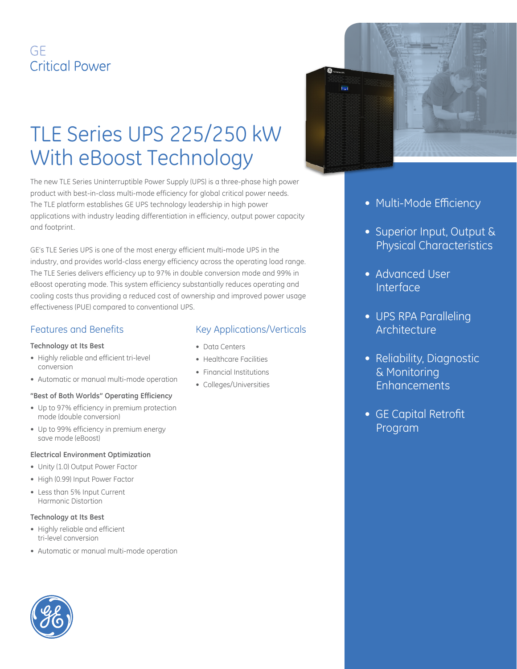# GF **Critical Power**

# TLE Series UPS 225/250 kW With eBoost Technology

The new TLE Series Uninterruptible Power Supply (UPS) is a three-phase high power product with best-in-class multi-mode efficiency for global critical power needs. The TLE platform establishes GE UPS technology leadership in high power applications with industry leading differentiation in efficiency, output power capacity and footprint.

GE's TLE Series UPS is one of the most energy efficient multi-mode UPS in the industry, and provides world-class energy efficiency across the operating load range. The TLE Series delivers efficiency up to 97% in double conversion mode and 99% in eBoost operating mode. This system efficiency substantially reduces operating and cooling costs thus providing a reduced cost of ownership and improved power usage effectiveness (PUE) compared to conventional UPS.

#### Features and Benefits

#### **Technology at Its Best**

- • Highly reliable and efficient tri-level conversion
- Automatic or manual multi-mode operation

#### **"Best of Both Worlds" Operating Efficiency**

- Up to 97% efficiency in premium protection mode (double conversion)
- Up to 99% efficiency in premium energy save mode (eBoost)

#### **Electrical Environment Optimization**

- Unity (1.0) Output Power Factor
- High (0.99) Input Power Factor
- • Less than 5% Input Current Harmonic Distortion

#### **Technology at Its Best**

- • Highly reliable and efficient tri-level conversion
- • Automatic or manual multi-mode operation

#### Key Applications/Verticals

- • Data Centers
- Healthcare Facilities
- • Financial Institutions
- Colleges/Universities



- Multi-Mode Efficiency
- Superior Input, Output & Physical Characteristics
- Advanced User Interface
- UPS RPA Paralleling Architecture
- Reliability, Diagnostic & Monitoring **Enhancements**
- GE Capital Retrofit Program

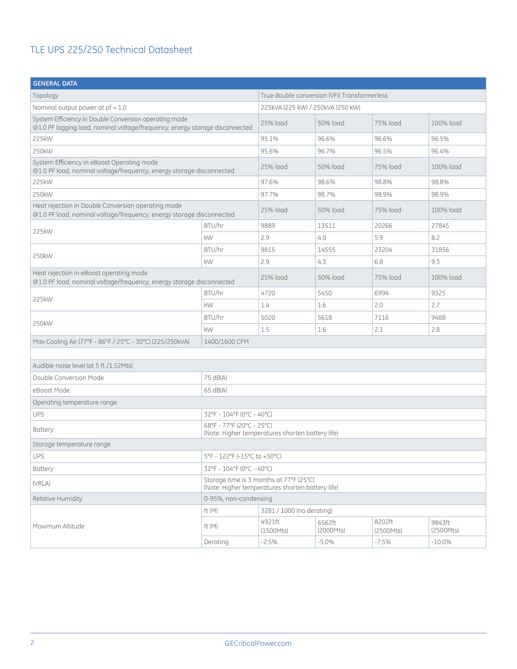| <b>GENERAL DATA</b>                                                                                                                   |                                                                                             |                                              |                     |                     |                     |
|---------------------------------------------------------------------------------------------------------------------------------------|---------------------------------------------------------------------------------------------|----------------------------------------------|---------------------|---------------------|---------------------|
| Topology                                                                                                                              |                                                                                             | True double conversion (VFI) Transformerless |                     |                     |                     |
| Nominal output power at $pf = 1.0$                                                                                                    |                                                                                             | 225kVA (225 kW) / 250kVA (250 kW)            |                     |                     |                     |
| System Efficiency in Double Conversion operating mode<br>@1.0 PF lagging load, nominal voltage/frequency, energy storage disconnected |                                                                                             | 25% load                                     | 50% load            | 75% load            | 100% load           |
| 225kW                                                                                                                                 |                                                                                             | 95.1%                                        | 96.6%               | 96.6%               | 96.5%               |
| 250kW                                                                                                                                 |                                                                                             | 95.6%                                        | 96.7%               | 96.5%               | 96.4%               |
| System Efficiency in eBoost Operating mode<br>@1.0 PF load, nominal voltage/frequency, energy storage disconnected                    |                                                                                             | 25% load                                     | 50% load            | 75% load            | 100% load           |
| 225kW                                                                                                                                 |                                                                                             | 97.6%                                        | 98.6%               | 98.8%               | 98.8%               |
| 250kW                                                                                                                                 |                                                                                             | 97.7%                                        | 98.7%               | 98.9%               | 98.9%               |
| Heat rejection in Double Conversion operating mode<br>@1.0 PF load, nominal voltage/frequency, energy storage disconnected            |                                                                                             | 25% load                                     | 50% load            | 75% load            | 100% load           |
|                                                                                                                                       | BTU/hr                                                                                      | 9889                                         | 13511               | 20266               | 27845               |
| 225kW                                                                                                                                 | kW                                                                                          | 2.9                                          | 4.0                 | 5.9                 | 8.2                 |
| 250kW                                                                                                                                 | BTU/hr                                                                                      | 9815                                         | 14555               | 23204               | 31856               |
|                                                                                                                                       | kW                                                                                          | 2.9                                          | 4.3                 | 6.8                 | 9.3                 |
| Heat rejection in eBoost operating mode<br>@1.0 PF load, nominal voltage/frequency, energy storage disconnected                       |                                                                                             | 25% load                                     | 50% load            | 75% load            | 100% load           |
| 225kW                                                                                                                                 | BTU/hr                                                                                      | 4720                                         | 5450                | 6994                | 9325                |
|                                                                                                                                       | kW                                                                                          | 1.4                                          | 1.6                 | 2.0                 | 2.7                 |
| 250kW                                                                                                                                 | BTU/hr                                                                                      | 5020                                         | 5618                | 7116                | 9488                |
|                                                                                                                                       | kW                                                                                          | 1.5                                          | 1.6                 | 2.1                 | 2.8                 |
| Max Cooling Air (77°F - 86°F / 25°C - 30°C) (225/250kVA)                                                                              |                                                                                             |                                              |                     |                     |                     |
|                                                                                                                                       |                                                                                             |                                              |                     |                     |                     |
| Audible noise level (at 5 ft./1.52Mts)                                                                                                |                                                                                             |                                              |                     |                     |                     |
| Double Conversion Mode                                                                                                                | 75 dB(A)                                                                                    |                                              |                     |                     |                     |
| eBoost Mode                                                                                                                           | 65 dB(A)                                                                                    |                                              |                     |                     |                     |
| Operating temperature range                                                                                                           |                                                                                             |                                              |                     |                     |                     |
| UPS                                                                                                                                   | 32°F - 104°F (0°C - 40°C)                                                                   |                                              |                     |                     |                     |
| <b>Battery</b>                                                                                                                        | 68°F - 77°F (20°C - 25°C)<br>(Note: Higher temperatures shorten battery life)               |                                              |                     |                     |                     |
| Storage temperature range                                                                                                             |                                                                                             |                                              |                     |                     |                     |
| <b>UPS</b>                                                                                                                            | 5°F - 122°F (-15°C to +50°C)                                                                |                                              |                     |                     |                     |
| <b>Battery</b>                                                                                                                        | 32°F - 104°F (0°C - 40°C)                                                                   |                                              |                     |                     |                     |
| (VRLA)                                                                                                                                | Storage time is 3 months at 77°F (25°C)<br>(Note: Higher temperatures shorten battery life) |                                              |                     |                     |                     |
| Relative Humidity                                                                                                                     | 0-95%, non-condensing                                                                       |                                              |                     |                     |                     |
|                                                                                                                                       | ft $(M)$                                                                                    | 3281 / 1000 (no derating)                    |                     |                     |                     |
| Maximum Altitude                                                                                                                      | ft $(M)$                                                                                    | 4921ft<br>(1500Mts)                          | 6562ft<br>(2000Mts) | 8202ft<br>(2500Mts) | 9843ft<br>(2500Mts) |
|                                                                                                                                       | Derating                                                                                    | $-2.5%$                                      | $-5.0\%$            | $-7.5%$             | $-10.0\%$           |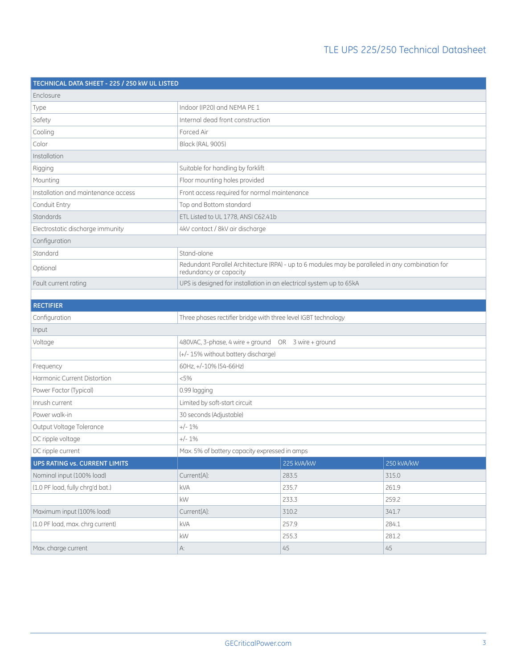| TECHNICAL DATA SHEET - 225 / 250 kW UL LISTED |                                                                     |                                                                                                  |            |  |
|-----------------------------------------------|---------------------------------------------------------------------|--------------------------------------------------------------------------------------------------|------------|--|
| Enclosure                                     |                                                                     |                                                                                                  |            |  |
| Type                                          | Indoor (IP20) and NEMA PE 1                                         |                                                                                                  |            |  |
| Safety                                        | Internal dead front construction                                    |                                                                                                  |            |  |
| Cooling                                       | Forced Air                                                          |                                                                                                  |            |  |
| Color                                         | <b>Black (RAL 9005)</b>                                             |                                                                                                  |            |  |
| Installation                                  |                                                                     |                                                                                                  |            |  |
| Rigging                                       | Suitable for handling by forklift                                   |                                                                                                  |            |  |
| Mounting                                      | Floor mounting holes provided                                       |                                                                                                  |            |  |
| Installation and maintenance access           | Front access required for normal maintenance                        |                                                                                                  |            |  |
| Conduit Entry                                 | Top and Bottom standard                                             |                                                                                                  |            |  |
| Standards                                     | ETL Listed to UL 1778, ANSI C62.41b                                 |                                                                                                  |            |  |
| Electrostatic discharge immunity              | 4kV contact / 8kV air discharge                                     |                                                                                                  |            |  |
| Configuration                                 |                                                                     |                                                                                                  |            |  |
| Standard                                      | Stand-alone                                                         |                                                                                                  |            |  |
| Optional                                      | redundancy or capacity                                              | Redundant Parallel Architecture (RPA) - up to 6 modules may be paralleled in any combination for |            |  |
| Fault current rating                          | UPS is designed for installation in an electrical system up to 65kA |                                                                                                  |            |  |
|                                               |                                                                     |                                                                                                  |            |  |
| <b>RECTIFIER</b>                              |                                                                     |                                                                                                  |            |  |
| Configuration                                 | Three phases rectifier bridge with three level IGBT technology      |                                                                                                  |            |  |
| Input                                         |                                                                     |                                                                                                  |            |  |
| Voltage                                       | 480VAC, 3-phase, 4 wire + ground<br>OR 3 wire + ground              |                                                                                                  |            |  |
|                                               | (+/- 15% without battery discharge)                                 |                                                                                                  |            |  |
| Frequency                                     | 60Hz, +/-10% (54-66Hz)                                              |                                                                                                  |            |  |
| <b>Harmonic Current Distortion</b>            | < 5%                                                                |                                                                                                  |            |  |
| Power Factor (Typical)                        | 0.99 lagging                                                        |                                                                                                  |            |  |
| Inrush current                                | Limited by soft-start circuit                                       |                                                                                                  |            |  |
| Power walk-in                                 | 30 seconds (Adjustable)                                             |                                                                                                  |            |  |
| Output Voltage Tolerance                      | $+/-1%$                                                             |                                                                                                  |            |  |
| DC ripple voltage                             | $+/-1\%$                                                            |                                                                                                  |            |  |
| DC ripple current                             | Max. 5% of battery capacity expressed in amps                       |                                                                                                  |            |  |
| <b>UPS RATING vs. CURRENT LIMITS</b>          |                                                                     | 225 kVA/kW                                                                                       | 250 kVA/kW |  |
| Nominal input (100% load)                     | Current[A]:                                                         | 283.5                                                                                            | 315.0      |  |
| (1.0 PF load, fully chrg'd bat.)              | kVA                                                                 | 235.7                                                                                            | 261.9      |  |
|                                               | $\mathsf{k}\mathsf{W}$                                              | 233.3                                                                                            | 259.2      |  |
| Maximum input (100% load)                     | Current[A]:                                                         | 310.2                                                                                            | 341.7      |  |
| (1.0 PF load, max. chrg current)              | kVA                                                                 | 257.9                                                                                            | 284.1      |  |
|                                               | $\mathsf{k}\mathsf{W}$                                              | 255.3                                                                                            | 281.2      |  |
| Max. charge current                           | A:                                                                  | 45                                                                                               | 45         |  |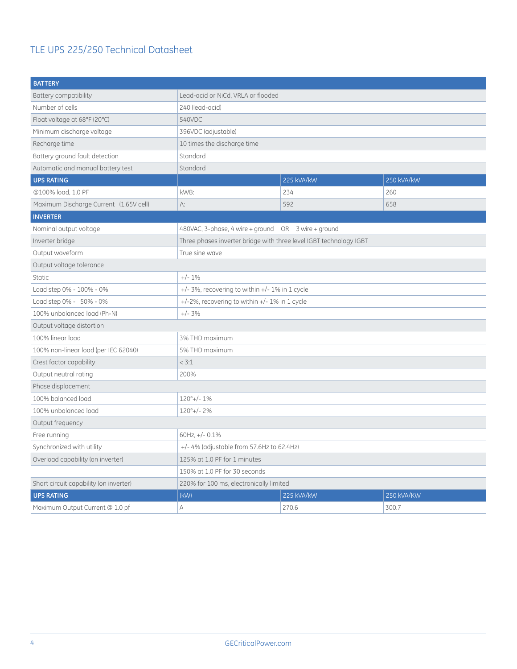| <b>BATTERY</b>                         |                                                                    |            |            |  |
|----------------------------------------|--------------------------------------------------------------------|------------|------------|--|
| <b>Battery compatibility</b>           | Lead-acid or NiCd, VRLA or flooded                                 |            |            |  |
| Number of cells                        | 240 (lead-acid)                                                    |            |            |  |
| Float voltage at 68°F (20°C)           | 540VDC                                                             |            |            |  |
| Minimum discharge voltage              | 396VDC (adjustable)                                                |            |            |  |
| Recharge time                          | 10 times the discharge time                                        |            |            |  |
| Battery ground fault detection         | Standard                                                           |            |            |  |
| Automatic and manual battery test      | Standard                                                           |            |            |  |
| <b>UPS RATING</b>                      |                                                                    | 225 kVA/kW | 250 kVA/kW |  |
| @100% load, 1.0 PF                     | kWB:                                                               | 234        | 260        |  |
| Maximum Discharge Current (1.65V cell) | A:                                                                 | 592        | 658        |  |
| <b>INVERTER</b>                        |                                                                    |            |            |  |
| Nominal output voltage                 | 480VAC, 3-phase, 4 wire + ground OR 3 wire + ground                |            |            |  |
| Inverter bridge                        | Three phases inverter bridge with three level IGBT technology IGBT |            |            |  |
| Output waveform                        | True sine wave                                                     |            |            |  |
| Output voltage tolerance               |                                                                    |            |            |  |
| <b>Static</b>                          | $+/-1%$                                                            |            |            |  |
| Load step 0% - 100% - 0%               | $+/-$ 3%, recovering to within $+/-$ 1% in 1 cycle                 |            |            |  |
| Load step 0% - 50% - 0%                | +/-2%, recovering to within +/- 1% in 1 cycle                      |            |            |  |
| 100% unbalanced load (Ph-N)            | $+/- 3%$                                                           |            |            |  |
| Output voltage distortion              |                                                                    |            |            |  |
| 100% linear load                       | 3% THD maximum                                                     |            |            |  |
| 100% non-linear load (per IEC 62040)   | 5% THD maximum                                                     |            |            |  |
| Crest factor capability                | < 3:1                                                              |            |            |  |
| Output neutral rating                  | 200%                                                               |            |            |  |
| Phase displacement                     |                                                                    |            |            |  |
| 100% balanced load                     | $120^{\circ}$ +/- 1%                                               |            |            |  |
| 100% unbalanced load                   | $120^{\circ}$ +/-2%                                                |            |            |  |
| Output frequency                       |                                                                    |            |            |  |
| Free running                           | 60Hz, $+/- 0.1\%$                                                  |            |            |  |
| Synchronized with utility              | $+/- 4\%$ (adjustable from 57.6Hz to 62.4Hz)                       |            |            |  |
| Overload capability (on inverter)      | 125% at 1.0 PF for 1 minutes                                       |            |            |  |
|                                        | 150% at 1.0 PF for 30 seconds                                      |            |            |  |
| Short circuit capability (on inverter) | 220% for 100 ms, electronically limited                            |            |            |  |
| <b>UPS RATING</b>                      | (kW)<br>225 kVA/kW<br>250 kVA/KW                                   |            |            |  |
| Maximum Output Current @ 1.0 pf        | A                                                                  | 270.6      | 300.7      |  |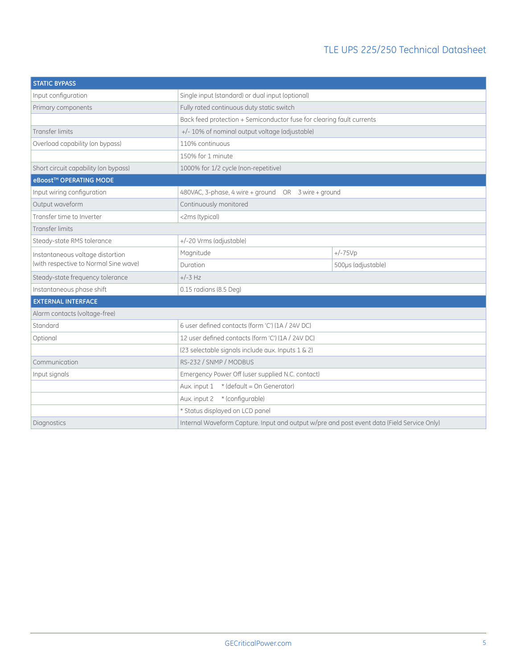| <b>STATIC BYPASS</b>                  |                                                                                            |                    |  |  |
|---------------------------------------|--------------------------------------------------------------------------------------------|--------------------|--|--|
| Input configuration                   | Single input (standard) or dual input (optional)                                           |                    |  |  |
| Primary components                    | Fully rated continuous duty static switch                                                  |                    |  |  |
|                                       | Back feed protection + Semiconductor fuse for clearing fault currents                      |                    |  |  |
| <b>Transfer limits</b>                | +/- 10% of nominal output voltage (adjustable)                                             |                    |  |  |
| Overload capability (on bypass)       | 110% continuous                                                                            |                    |  |  |
|                                       | 150% for 1 minute                                                                          |                    |  |  |
| Short circuit capability (on bypass)  | 1000% for 1/2 cycle (non-repetitive)                                                       |                    |  |  |
| eBoost™ OPERATING MODE                |                                                                                            |                    |  |  |
| Input wiring configuration            | 480VAC, 3-phase, 4 wire + ground    OR    3 wire + ground                                  |                    |  |  |
| Output waveform                       | Continuously monitored                                                                     |                    |  |  |
| Transfer time to Inverter             | <2ms (typical)                                                                             |                    |  |  |
| <b>Transfer limits</b>                |                                                                                            |                    |  |  |
| Steady-state RMS tolerance            | +/-20 Vrms (adjustable)                                                                    |                    |  |  |
| Instantaneous voltage distortion      | Magnitude                                                                                  | $+/-75Vp$          |  |  |
| (with respective to Normal Sine wave) | Duration                                                                                   | 500µs (adjustable) |  |  |
| Steady-state frequency tolerance      | $+/-3$ Hz                                                                                  |                    |  |  |
| Instantaneous phase shift             | 0.15 radians (8.5 Deg)                                                                     |                    |  |  |
| <b>EXTERNAL INTERFACE</b>             |                                                                                            |                    |  |  |
| Alarm contacts (voltage-free)         |                                                                                            |                    |  |  |
| Standard                              | 6 user defined contacts (form 'C') (1A / 24V DC)                                           |                    |  |  |
| Optional                              | 12 user defined contacts (form 'C') (1A / 24V DC)                                          |                    |  |  |
|                                       | (23 selectable signals include aux. Inputs 1 & 2)                                          |                    |  |  |
| Communication                         | RS-232 / SNMP / MODBUS                                                                     |                    |  |  |
| Input signals                         | Emergency Power Off (user supplied N.C. contact)                                           |                    |  |  |
|                                       | Aux. input 1 * (default = On Generator)                                                    |                    |  |  |
|                                       | Aux. input 2 * (configurable)                                                              |                    |  |  |
|                                       | * Status displayed on LCD panel                                                            |                    |  |  |
| Diagnostics                           | Internal Waveform Capture. Input and output w/pre and post event data (Field Service Only) |                    |  |  |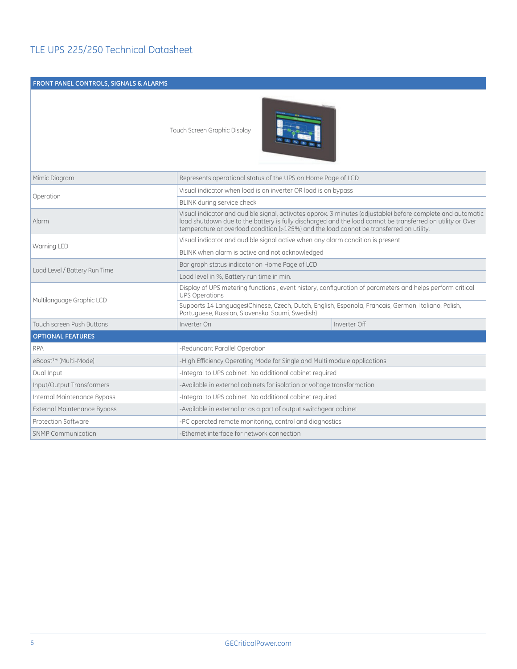#### **Front Panel Controls, Signals & Alarms**

Touch Screen Graphic Display



| Mimic Diagram                      |                               | Represents operational status of the UPS on Home Page of LCD                                                                                                                                                                                                                                                          |  |  |  |
|------------------------------------|-------------------------------|-----------------------------------------------------------------------------------------------------------------------------------------------------------------------------------------------------------------------------------------------------------------------------------------------------------------------|--|--|--|
| Operation                          |                               | Visual indicator when load is on inverter OR load is on bypass                                                                                                                                                                                                                                                        |  |  |  |
|                                    | BLINK during service check    |                                                                                                                                                                                                                                                                                                                       |  |  |  |
| Alarm                              |                               | Visual indicator and audible signal, activates approx. 3 minutes (adjustable) before complete and automatic<br>load shutdown due to the battery is fully discharged and the load cannot be transferred on utility or Over<br>temperature or overload condition (>125%) and the load cannot be transferred on utility. |  |  |  |
|                                    |                               | Visual indicator and audible signal active when any alarm condition is present                                                                                                                                                                                                                                        |  |  |  |
| Warning LED                        |                               | BLINK when alarm is active and not acknowledged                                                                                                                                                                                                                                                                       |  |  |  |
|                                    |                               | Bar graph status indicator on Home Page of LCD                                                                                                                                                                                                                                                                        |  |  |  |
| Load Level / Battery Run Time      |                               | Load level in %, Battery run time in min.                                                                                                                                                                                                                                                                             |  |  |  |
|                                    | <b>UPS Operations</b>         | Display of UPS metering functions, event history, configuration of parameters and helps perform critical                                                                                                                                                                                                              |  |  |  |
| Multilanguage Graphic LCD          |                               | Supports 14 Languages(Chinese, Czech, Dutch, English, Espanola, Francais, German, Italiano, Polish,<br>Portuguese, Russian, Slovensko, Soumi, Swedish)                                                                                                                                                                |  |  |  |
| <b>Touch screen Push Buttons</b>   | Inverter On                   | Inverter Off                                                                                                                                                                                                                                                                                                          |  |  |  |
| <b>OPTIONAL FEATURES</b>           |                               |                                                                                                                                                                                                                                                                                                                       |  |  |  |
| <b>RPA</b>                         | -Redundant Parallel Operation |                                                                                                                                                                                                                                                                                                                       |  |  |  |
| eBoost™ (Multi-Mode)               |                               | -High Efficiency Operating Mode for Single and Multi module applications                                                                                                                                                                                                                                              |  |  |  |
| Dual Input                         |                               | -Integral to UPS cabinet. No additional cabinet required                                                                                                                                                                                                                                                              |  |  |  |
| Input/Output Transformers          |                               | -Available in external cabinets for isolation or voltage transformation                                                                                                                                                                                                                                               |  |  |  |
| Internal Maintenance Bypass        |                               | -Integral to UPS cabinet. No additional cabinet required                                                                                                                                                                                                                                                              |  |  |  |
| <b>External Maintenance Bypass</b> |                               | -Available in external or as a part of output switchgear cabinet                                                                                                                                                                                                                                                      |  |  |  |
| Protection Software                |                               | -PC operated remote monitoring, control and diagnostics                                                                                                                                                                                                                                                               |  |  |  |
| <b>SNMP Communication</b>          |                               | -Ethernet interface for network connection                                                                                                                                                                                                                                                                            |  |  |  |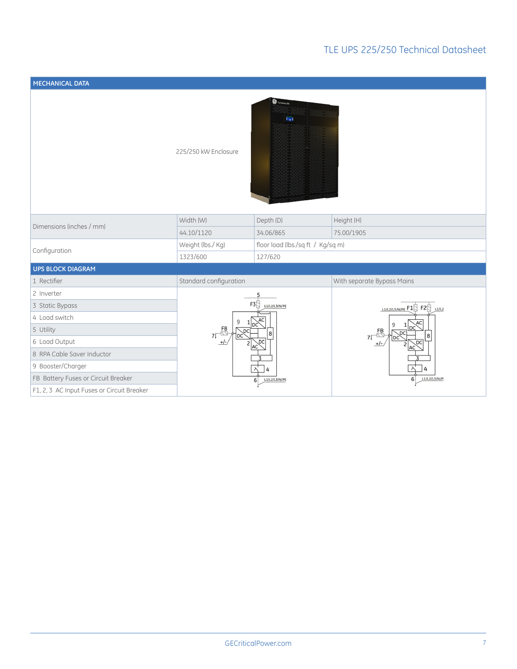| MECHANICAL DATA                            |                                                                                                                                    |                                            |                                                                                                                                      |  |
|--------------------------------------------|------------------------------------------------------------------------------------------------------------------------------------|--------------------------------------------|--------------------------------------------------------------------------------------------------------------------------------------|--|
|                                            | 225/250 kW Enclosure                                                                                                               | <sup>2</sup> TLE Series UPS<br><b>Fall</b> |                                                                                                                                      |  |
| Dimensions (inches / mm)                   | Width (W)                                                                                                                          | Depth (D)                                  | Height (H)                                                                                                                           |  |
|                                            | 44.10/1120                                                                                                                         | 34.06/865                                  | 75.00/1905                                                                                                                           |  |
|                                            | Weight (lbs./ Kg)<br>floor load (lbs./sq ft / Kg/sq m)                                                                             |                                            |                                                                                                                                      |  |
| Configuration                              | 1323/600<br>127/620                                                                                                                |                                            |                                                                                                                                      |  |
| <b>UPS BLOCK DIAGRAM</b>                   |                                                                                                                                    |                                            |                                                                                                                                      |  |
| 1 Rectifier                                | Standard configuration                                                                                                             |                                            | With separate Bypass Mains                                                                                                           |  |
| 2 Inverter                                 |                                                                                                                                    | 5                                          |                                                                                                                                      |  |
| 3 Static Bypass                            | $F3$ $\frac{11}{12}$ $\frac{11}{12}$<br>9<br>Inr<br>$7\sqrt{\frac{FB}{2}}$<br>D <sub>C</sub><br>8<br>DC<br>$+/-$<br>D <sub>C</sub> |                                            | $\frac{L1}{L2/L2/L3/N/PE}$ F1 F2 $\frac{L1}{L2}$<br>$\overline{\mathbb{C}}^{\mathsf{B}}$<br>8<br>7 <sup>f</sup><br>DC<br>$+/-$<br>AC |  |
| 4 Load switch                              |                                                                                                                                    |                                            |                                                                                                                                      |  |
| 5 Utility                                  |                                                                                                                                    |                                            |                                                                                                                                      |  |
| 6 Load Output                              |                                                                                                                                    |                                            |                                                                                                                                      |  |
| 8 RPA Cable Saver Inductor                 |                                                                                                                                    |                                            |                                                                                                                                      |  |
| 9 Booster/Charger                          | 4<br>Δ                                                                                                                             |                                            |                                                                                                                                      |  |
| FB Battery Fuses or Circuit Breaker        | L1/L2/L3/N/PI<br>6<br>L1/L2/L3/N/PE<br>6 <sup>1</sup>                                                                              |                                            |                                                                                                                                      |  |
| F1, 2, 3 AC Input Fuses or Circuit Breaker |                                                                                                                                    |                                            |                                                                                                                                      |  |